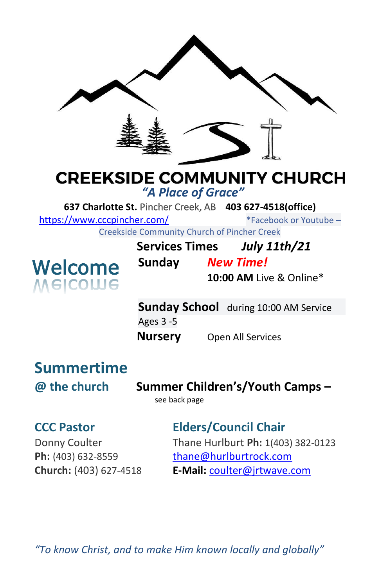

## **CREEKSIDE COMMUNITY CHURCH**

*"A Place of Grace"*

**637 Charlotte St.** Pincher Creek, AB **403 627-4518(office)** 

<https://www.cccpincher.com/>\*Facebook or Youtube –

Creekside Community Church of Pincher Creek



| <b>Services Times</b> |                  | <b>July 11th/21</b>      |
|-----------------------|------------------|--------------------------|
| Sunday                | <b>New Time!</b> |                          |
|                       |                  | $10:00$ AM Live & Online |

**10:00 AM** Live & Online\*

**Sunday School** during 10:00 AM Service Ages 3 -5 **Nursery** Open All Services

# **Summertime**

**@ the church Summer Children's/Youth Camps –**

see back page

### **CCC Pastor Elders/Council Chair**

Donny Coulter Thane Hurlburt **Ph:** 1(403) 382-0123 **Ph:** (403) 632-8559 [thane@hurlburtrock.com](mailto:thane@hurlburtrock.com) **Church:** (403) 627-4518 **E-Mail:** [coulter@jrtwave.com](mailto:coulter@jrtwave.com)

*"To know Christ, and to make Him known locally and globally"*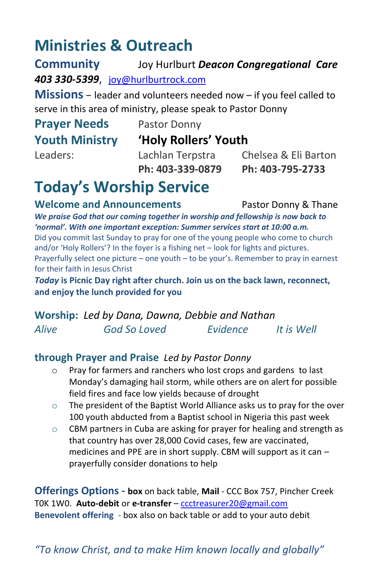### **Ministries & Outreach**

**Community** Joy Hurlburt *Deacon Congregational Care 403 330-5399*, [joy@hurlburtrock.com](mailto:joy@hurlburtrock.com)

**Missions** – leader and volunteers needed now – if you feel called to serve in this area of ministry, please speak to Pastor Donny

# **Prayer Needs** Pastor Donny

#### **Youth Ministry 'Holy Rollers' Youth**

Leaders: Lachlan Terpstra Chelsea & Eli Barton **Ph: 403-339-0879 Ph: 403-795-2733**

## **Today's Worship Service**

**Welcome and Announcements** Pastor Donny & Thane

*We praise God that our coming together in worship and fellowship is now back to 'normal'. With one important exception: Summer services start at 10:00 a.m.* Did you commit last Sunday to pray for one of the young people who come to church and/or 'Holy Rollers'? In the foyer is a fishing net – look for lights and pictures. Prayerfully select one picture – one youth – to be your's. Remember to pray in earnest for their faith in Jesus Christ

*Today* **is Picnic Day right after church. Join us on the back lawn, reconnect, and enjoy the lunch provided for you**

**Worship:** *Led by Dana, Dawna, Debbie and Nathan Alive God So Loved Evidence It is Well*

#### **through Prayer and Praise** *Led by Pastor Donny*

- o Pray for farmers and ranchers who lost crops and gardens to last Monday's damaging hail storm, while others are on alert for possible field fires and face low yields because of drought
- $\circ$  The president of the Baptist World Alliance asks us to pray for the over 100 youth abducted from a Baptist school in Nigeria this past week
- o CBM partners in Cuba are asking for prayer for healing and strength as that country has over 28,000 Covid cases, few are vaccinated, medicines and PPE are in short supply. CBM will support as it can – prayerfully consider donations to help

**Offerings Options - box** on back table, **Mail** - CCC Box 757, Pincher Creek T0K 1W0. **Auto-debit** or **e-transfer** – [ccctreasurer20@gmail.com](mailto:ccctreasurer20@gmail.com) **Benevolent offering** - box also on back table or add to your auto debit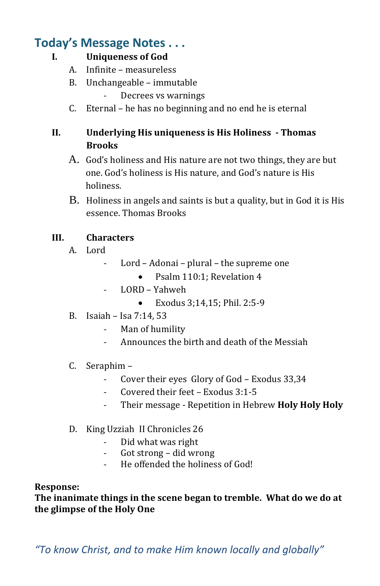### **Today's Message Notes . . .**

#### **I. Uniqueness of God**

- A. Infinite measureless
- B. Unchangeable immutable
	- Decrees vs warnings
- C. Eternal he has no beginning and no end he is eternal

#### **II. Underlying His uniqueness is His Holiness - Thomas Brooks**

- A. God's holiness and His nature are not two things, they are but one. God's holiness is His nature, and God's nature is His holiness.
- B. Holiness in angels and saints is but a quality, but in God it is His essence. Thomas Brooks

#### **III. Characters**

- A. Lord
	- Lord Adonai plural the supreme one
		- Psalm 110:1: Revelation 4
	- LORD Yahweh
		- Exodus 3;14,15; Phil. 2:5-9
- B. Isaiah Isa 7:14, 53
	- Man of humility
	- Announces the birth and death of the Messiah

#### C. Seraphim –

- Cover their eyes Glory of God Exodus 33,34
- Covered their feet Exodus 3:1-5
- Their message Repetition in Hebrew **Holy Holy Holy**
- D. King Uzziah II Chronicles 26
	- Did what was right
	- Got strong did wrong
	- He offended the holiness of God!

#### **Response:**

**The inanimate things in the scene began to tremble. What do we do at the glimpse of the Holy One**

*"To know Christ, and to make Him known locally and globally"*